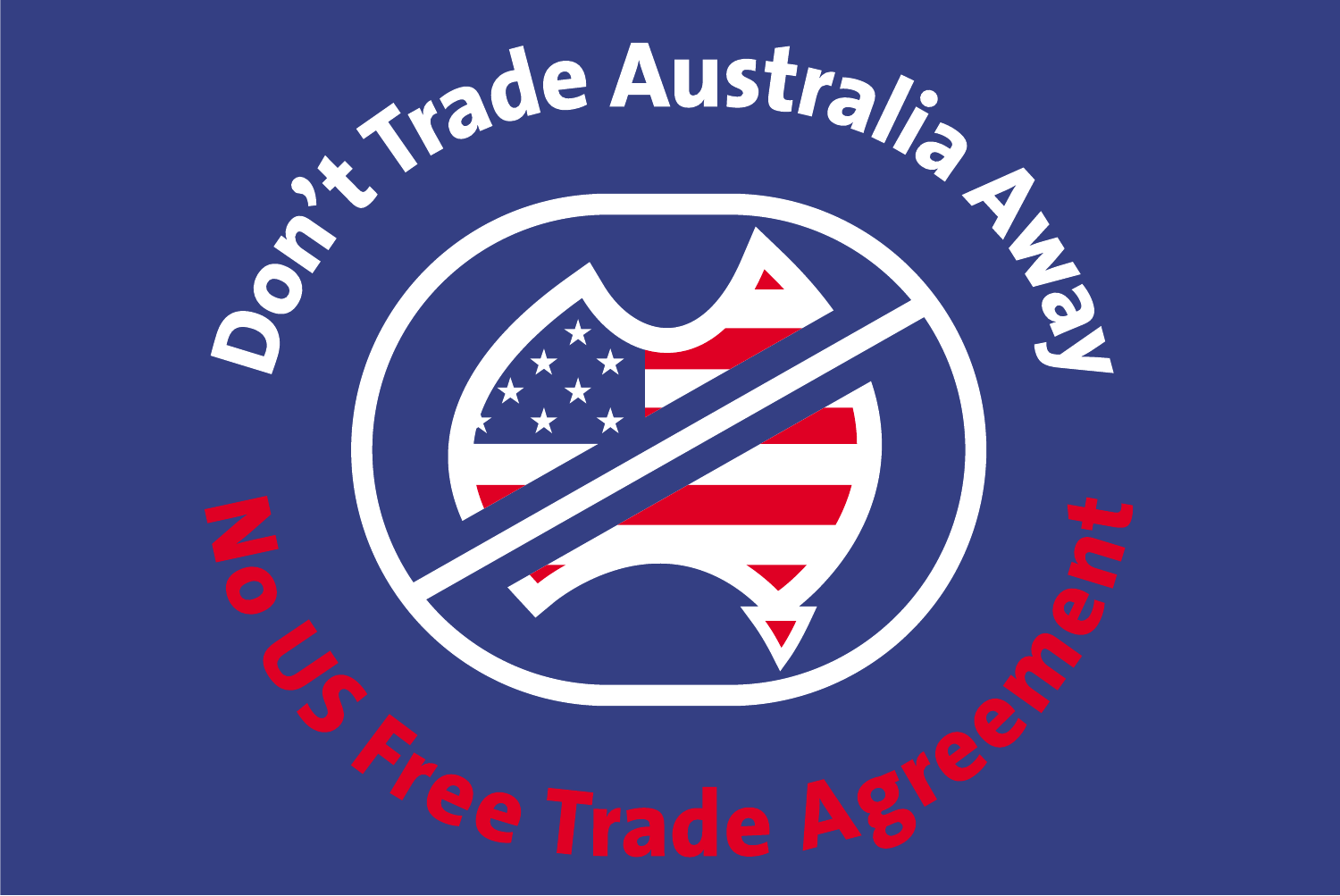